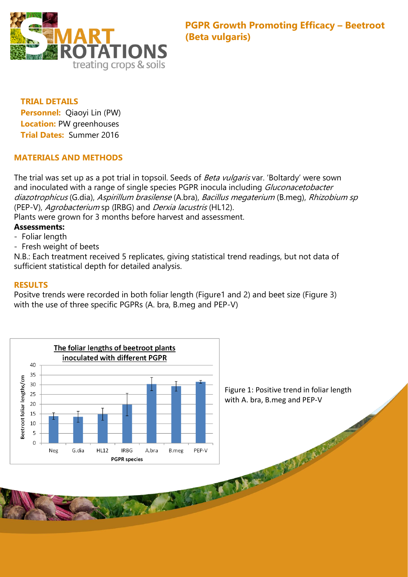

## **TRIAL DETAILS Personnel:** Qiaoyi Lin (PW) **Location:** PW greenhouses **Trial Dates:** Summer 2016

## **MATERIALS AND METHODS**

The trial was set up as a pot trial in topsoil. Seeds of *Beta vulgaris* var. 'Boltardy' were sown and inoculated with a range of single species PGPR inocula including *Gluconacetobacter* diazotrophicus (G.dia), Aspirillum brasilense (A.bra), Bacillus megaterium (B.meg), Rhizobium sp (PEP-V), Agrobacterium sp (IRBG) and Derxia lacustris (HL12).

Plants were grown for 3 months before harvest and assessment.

# **Assessments:**

- Foliar length
- Fresh weight of beets

N.B.: Each treatment received 5 replicates, giving statistical trend readings, but not data of sufficient statistical depth for detailed analysis.

## **RESULTS**

Positve trends were recorded in both foliar length (Figure1 and 2) and beet size (Figure 3) with the use of three specific PGPRs (A. bra, B.meg and PEP-V)